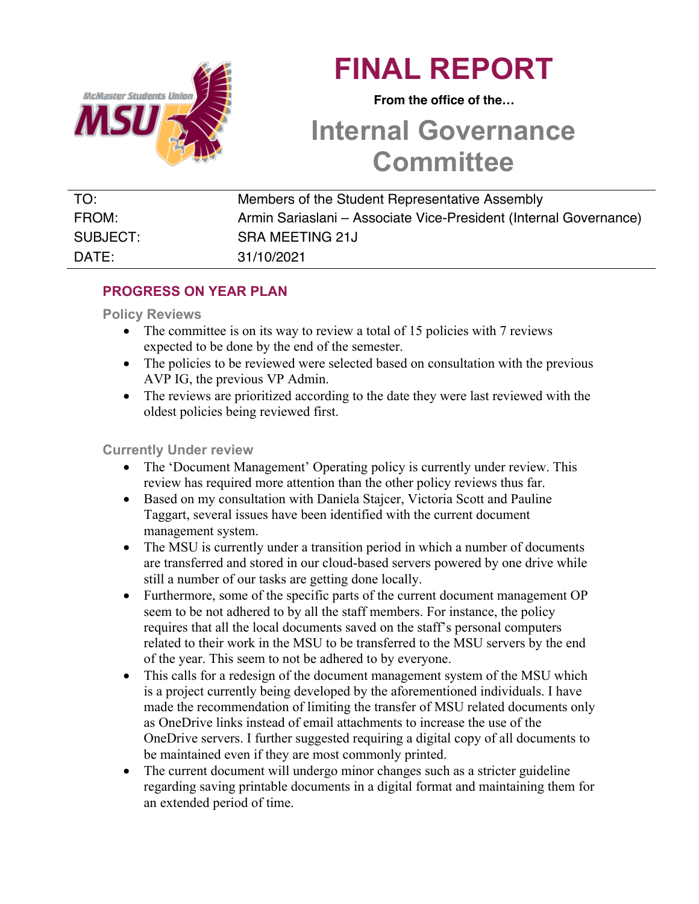

# **FINAL REPORT**

 **From the office of the…**

## **Internal Governance Committee**

| TO:      | Members of the Student Representative Assembly                    |
|----------|-------------------------------------------------------------------|
| FROM:    | Armin Sariaslani – Associate Vice-President (Internal Governance) |
| SUBJECT: | <b>SRA MEETING 21J</b>                                            |
| DATE:    | 31/10/2021                                                        |

## **PROGRESS ON YEAR PLAN**

#### **Policy Reviews**

- The committee is on its way to review a total of 15 policies with 7 reviews expected to be done by the end of the semester.
- The policies to be reviewed were selected based on consultation with the previous AVP IG, the previous VP Admin.
- The reviews are prioritized according to the date they were last reviewed with the oldest policies being reviewed first.

#### **Currently Under review**

- The 'Document Management' Operating policy is currently under review. This review has required more attention than the other policy reviews thus far.
- Based on my consultation with Daniela Stajcer, Victoria Scott and Pauline Taggart, several issues have been identified with the current document management system.
- The MSU is currently under a transition period in which a number of documents are transferred and stored in our cloud-based servers powered by one drive while still a number of our tasks are getting done locally.
- Furthermore, some of the specific parts of the current document management OP seem to be not adhered to by all the staff members. For instance, the policy requires that all the local documents saved on the staff's personal computers related to their work in the MSU to be transferred to the MSU servers by the end of the year. This seem to not be adhered to by everyone.
- This calls for a redesign of the document management system of the MSU which is a project currently being developed by the aforementioned individuals. I have made the recommendation of limiting the transfer of MSU related documents only as OneDrive links instead of email attachments to increase the use of the OneDrive servers. I further suggested requiring a digital copy of all documents to be maintained even if they are most commonly printed.
- The current document will undergo minor changes such as a stricter guideline regarding saving printable documents in a digital format and maintaining them for an extended period of time.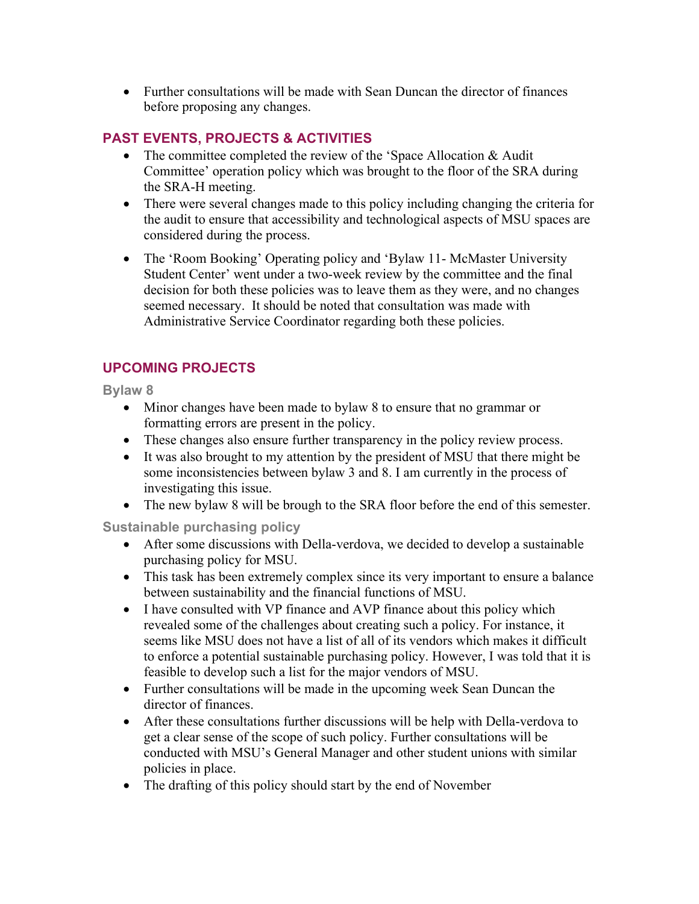• Further consultations will be made with Sean Duncan the director of finances before proposing any changes.

### **PAST EVENTS, PROJECTS & ACTIVITIES**

- The committee completed the review of the 'Space Allocation & Audit Committee' operation policy which was brought to the floor of the SRA during the SRA-H meeting.
- There were several changes made to this policy including changing the criteria for the audit to ensure that accessibility and technological aspects of MSU spaces are considered during the process.
- The 'Room Booking' Operating policy and 'Bylaw 11- McMaster University Student Center' went under a two-week review by the committee and the final decision for both these policies was to leave them as they were, and no changes seemed necessary. It should be noted that consultation was made with Administrative Service Coordinator regarding both these policies.

#### **UPCOMING PROJECTS**

**Bylaw 8**

- Minor changes have been made to bylaw 8 to ensure that no grammar or formatting errors are present in the policy.
- These changes also ensure further transparency in the policy review process.
- It was also brought to my attention by the president of MSU that there might be some inconsistencies between bylaw 3 and 8. I am currently in the process of investigating this issue.
- The new bylaw 8 will be brough to the SRA floor before the end of this semester.

**Sustainable purchasing policy**

- After some discussions with Della-verdova, we decided to develop a sustainable purchasing policy for MSU.
- This task has been extremely complex since its very important to ensure a balance between sustainability and the financial functions of MSU.
- I have consulted with VP finance and AVP finance about this policy which revealed some of the challenges about creating such a policy. For instance, it seems like MSU does not have a list of all of its vendors which makes it difficult to enforce a potential sustainable purchasing policy. However, I was told that it is feasible to develop such a list for the major vendors of MSU.
- Further consultations will be made in the upcoming week Sean Duncan the director of finances.
- After these consultations further discussions will be help with Della-verdova to get a clear sense of the scope of such policy. Further consultations will be conducted with MSU's General Manager and other student unions with similar policies in place.
- The drafting of this policy should start by the end of November